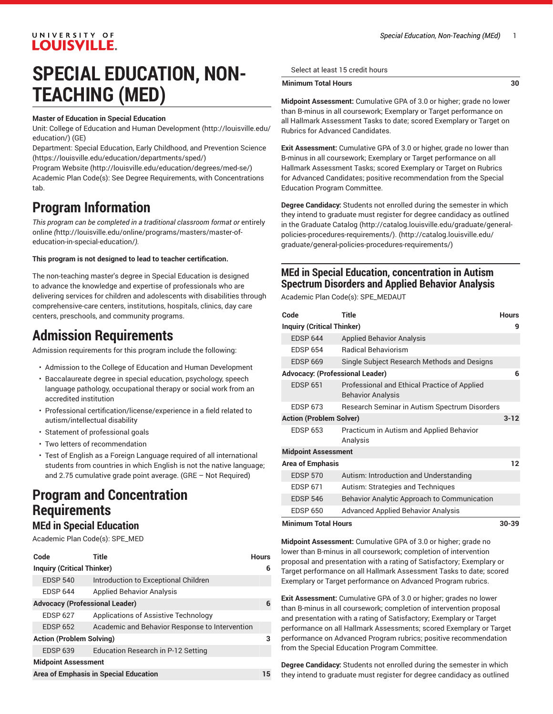## UNIVERSITY OF **LOUISVILLE.**

## **SPECIAL EDUCATION, NON-TEACHING (MED)**

#### **Master of Education in Special Education**

Unit: College of Education and Human [Development \(http://louisville.edu/](http://louisville.edu/education/) [education/](http://louisville.edu/education/)) (GE)

Department: Special Education, Early Childhood, and [Prevention](https://louisville.edu/education/departments/sped/) Science ([https://louisville.edu/education/departments/sped/\)](https://louisville.edu/education/departments/sped/)

[Program](http://louisville.edu/education/degrees/med-se/) Website [\(http://louisville.edu/education/degrees/med-se/\)](http://louisville.edu/education/degrees/med-se/) Academic Plan Code(s): See Degree Requirements, with Concentrations tab.

## **Program Information**

*This program can be completed in a traditional classroom format or* [entirely](http://louisville.edu/online/programs/masters/master-of-education-in-special-education/) [online](http://louisville.edu/online/programs/masters/master-of-education-in-special-education/) *(*[http://louisville.edu/online/programs/masters/master-of](http://louisville.edu/online/programs/masters/master-of-education-in-special-education/)[education-in-special-education/](http://louisville.edu/online/programs/masters/master-of-education-in-special-education/)*).*

#### **This program is not designed to lead to teacher certification.**

The non-teaching master's degree in Special Education is designed to advance the knowledge and expertise of professionals who are delivering services for children and adolescents with disabilities through comprehensive-care centers, institutions, hospitals, clinics, day care centers, preschools, and community programs.

## **Admission Requirements**

Admission requirements for this program include the following:

- Admission to the College of Education and Human Development
- Baccalaureate degree in special education, psychology, speech language pathology, occupational therapy or social work from an accredited institution
- Professional certification/license/experience in a field related to autism/intellectual disability
- Statement of professional goals
- Two letters of recommendation
- Test of English as a Foreign Language required of all international students from countries in which English is not the native language; and 2.75 cumulative grade point average. (GRE – Not Required)

## **Program and Concentration Requirements**

### **MEd in Special Education**

Academic Plan Code(s): SPE\_MED

| Code                                         | Title                                          | <b>Hours</b> |  |
|----------------------------------------------|------------------------------------------------|--------------|--|
| <b>Inquiry (Critical Thinker)</b>            |                                                |              |  |
| <b>EDSP 540</b>                              | Introduction to Exceptional Children           |              |  |
| <b>FDSP 644</b>                              | <b>Applied Behavior Analysis</b>               |              |  |
| <b>Advocacy (Professional Leader)</b>        |                                                |              |  |
| <b>EDSP 627</b>                              | Applications of Assistive Technology           |              |  |
| <b>EDSP 652</b>                              | Academic and Behavior Response to Intervention |              |  |
| <b>Action (Problem Solving)</b>              |                                                |              |  |
| <b>EDSP 639</b>                              | Education Research in P-12 Setting             |              |  |
| <b>Midpoint Assessment</b>                   |                                                |              |  |
| <b>Area of Emphasis in Special Education</b> |                                                |              |  |

Select at least 15 credit hours

#### **Minimum Total Hours 30**

**Midpoint Assessment:** Cumulative GPA of 3.0 or higher; grade no lower than B-minus in all coursework; Exemplary or Target performance on all Hallmark Assessment Tasks to date; scored Exemplary or Target on Rubrics for Advanced Candidates.

**Exit Assessment:** Cumulative GPA of 3.0 or higher, grade no lower than B-minus in all coursework; Exemplary or Target performance on all Hallmark Assessment Tasks; scored Exemplary or Target on Rubrics for Advanced Candidates; positive recommendation from the Special Education Program Committee.

**Degree Candidacy:** Students not enrolled during the semester in which they intend to graduate must register for degree candidacy as outlined in th[e Graduate Catalog](http://catalog.louisville.edu/graduate/general-policies-procedures-requirements/) ([http://catalog.louisville.edu/graduate/general](http://catalog.louisville.edu/graduate/general-policies-procedures-requirements/)[policies-procedures-requirements/\). \(http://catalog.louisville.edu/](http://catalog.louisville.edu/graduate/general-policies-procedures-requirements/) [graduate/general-policies-procedures-requirements/](http://catalog.louisville.edu/graduate/general-policies-procedures-requirements/))

## **MEd in Special Education, concentration in Autism Spectrum Disorders and Applied Behavior Analysis**

Academic Plan Code(s): SPE\_MEDAUT

| Code                                   | <b>Title</b>                                                             | <b>Hours</b> |  |
|----------------------------------------|--------------------------------------------------------------------------|--------------|--|
| <b>Inquiry (Critical Thinker)</b>      |                                                                          |              |  |
| <b>EDSP 644</b>                        | <b>Applied Behavior Analysis</b>                                         |              |  |
| <b>EDSP 654</b>                        | <b>Radical Behaviorism</b>                                               |              |  |
| <b>EDSP 669</b>                        | Single Subject Research Methods and Designs                              |              |  |
| <b>Advocacy: (Professional Leader)</b> |                                                                          | 6            |  |
| <b>EDSP 651</b>                        | Professional and Ethical Practice of Applied<br><b>Behavior Analysis</b> |              |  |
| <b>EDSP 673</b>                        | Research Seminar in Autism Spectrum Disorders                            |              |  |
| <b>Action (Problem Solver)</b>         |                                                                          | $3 - 12$     |  |
| <b>EDSP 653</b>                        | Practicum in Autism and Applied Behavior<br>Analysis                     |              |  |
| <b>Midpoint Assessment</b>             |                                                                          |              |  |
| <b>Area of Emphasis</b>                |                                                                          | 12           |  |
| <b>EDSP 570</b>                        | Autism: Introduction and Understanding                                   |              |  |
| <b>EDSP 671</b>                        | Autism: Strategies and Techniques                                        |              |  |
| <b>EDSP 546</b>                        | Behavior Analytic Approach to Communication                              |              |  |
| <b>EDSP 650</b>                        | <b>Advanced Applied Behavior Analysis</b>                                |              |  |
| Minimum Total Hours<br>30-30           |                                                                          |              |  |

**Midpoint Assessment:** Cumulative GPA of 3.0 or higher; grade no lower than B-minus in all coursework; completion of intervention proposal and presentation with a rating of Satisfactory; Exemplary or Target performance on all Hallmark Assessment Tasks to date; scored Exemplary or Target performance on Advanced Program rubrics.

**Exit Assessment:** Cumulative GPA of 3.0 or higher; grades no lower than B-minus in all coursework; completion of intervention proposal and presentation with a rating of Satisfactory; Exemplary or Target performance on all Hallmark Assessments; scored Exemplary or Target performance on Advanced Program rubrics; positive recommendation from the Special Education Program Committee.

**Degree Candidacy:** Students not enrolled during the semester in which they intend to graduate must register for degree candidacy [as outlined](http://catalog.louisville.edu/graduate/general-policies-procedures-requirements/)